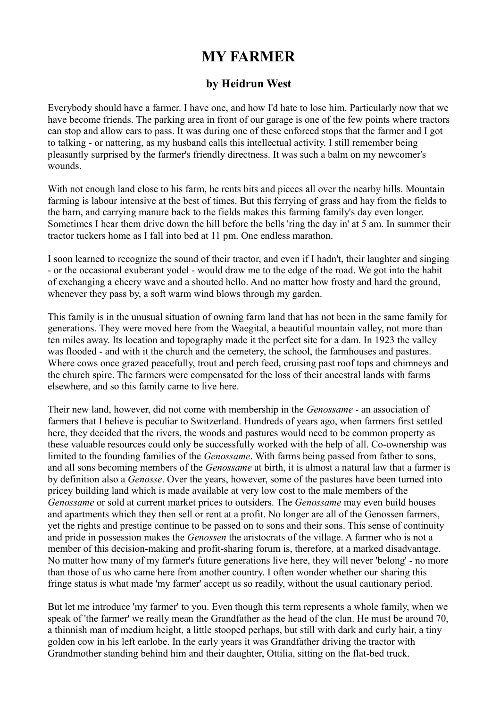## **MY FARMER**

## **by Heidrun West**

Everybody should have a farmer. I have one, and how I'd hate to lose him. Particularly now that we have become friends. The parking area in front of our garage is one of the few points where tractors can stop and allow cars to pass. It was during one of these enforced stops that the farmer and I got to talking - or nattering, as my husband calls this intellectual activity. I still remember being pleasantly surprised by the farmer's friendly directness. It was such a balm on my newcomer's wounds.

With not enough land close to his farm, he rents bits and pieces all over the nearby hills. Mountain farming is labour intensive at the best of times. But this ferrying of grass and hay from the fields to the barn, and carrying manure back to the fields makes this farming family's day even longer. Sometimes I hear them drive down the hill before the bells 'ring the day in' at 5 am. In summer their tractor tuckers home as I fall into bed at 11 pm. One endless marathon.

I soon learned to recognize the sound of their tractor, and even if I hadn't, their laughter and singing - or the occasional exuberant yodel - would draw me to the edge of the road. We got into the habit of exchanging a cheery wave and a shouted hello. And no matter how frosty and hard the ground, whenever they pass by, a soft warm wind blows through my garden.

This family is in the unusual situation of owning farm land that has not been in the same family for generations. They were moved here from the Waegital, a beautiful mountain valley, not more than ten miles away. Its location and topography made it the perfect site for a dam. In 1923 the valley was flooded - and with it the church and the cemetery, the school, the farmhouses and pastures. Where cows once grazed peacefully, trout and perch feed, cruising past roof tops and chimneys and the church spire. The farmers were compensated for the loss of their ancestral lands with farms elsewhere, and so this family came to live here.

Their new land, however, did not come with membership in the *Genossame* - an association of farmers that I believe is peculiar to Switzerland. Hundreds of years ago, when farmers first settled here, they decided that the rivers, the woods and pastures would need to be common property as these valuable resources could only be successfully worked with the help of all. Co-ownership was limited to the founding families of the *Genossame*. With farms being passed from father to sons, and all sons becoming members of the *Genossame* at birth, it is almost a natural law that a farmer is by definition also a *Genosse*. Over the years, however, some of the pastures have been turned into pricey building land which is made available at very low cost to the male members of the *Genossame* or sold at current market prices to outsiders. The *Genossame* may even build houses and apartments which they then sell or rent at a profit. No longer are all of the Genossen farmers, yet the rights and prestige continue to be passed on to sons and their sons. This sense of continuity and pride in possession makes the *Genossen* the aristocrats of the village. A farmer who is not a member of this decision-making and profit-sharing forum is, therefore, at a marked disadvantage. No matter how many of my farmer's future generations live here, they will never 'belong' - no more than those of us who came here from another country. I often wonder whether our sharing this fringe status is what made 'my farmer' accept us so readily, without the usual cautionary period.

But let me introduce 'my farmer' to you. Even though this term represents a whole family, when we speak of 'the farmer' we really mean the Grandfather as the head of the clan. He must be around 70, a thinnish man of medium height, a little stooped perhaps, but still with dark and curly hair, a tiny golden cow in his left earlobe. In the early years it was Grandfather driving the tractor with Grandmother standing behind him and their daughter, Ottilia, sitting on the flat-bed truck.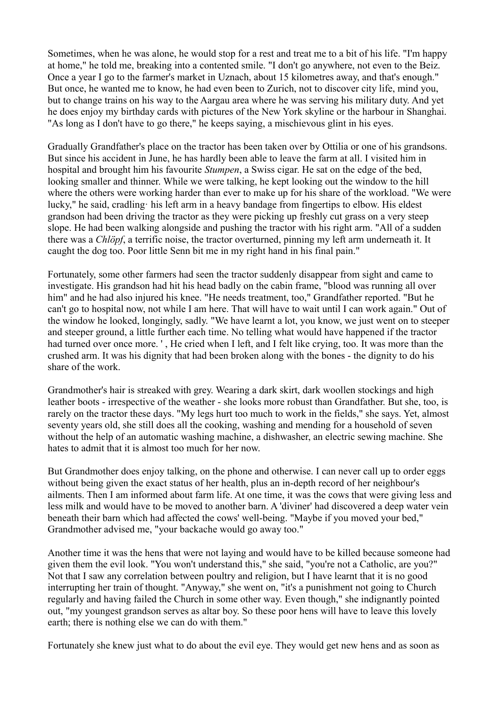Sometimes, when he was alone, he would stop for a rest and treat me to a bit of his life. "I'm happy at home," he told me, breaking into a contented smile. "I don't go anywhere, not even to the Beiz. Once a year I go to the farmer's market in Uznach, about 15 kilometres away, and that's enough." But once, he wanted me to know, he had even been to Zurich, not to discover city life, mind you, but to change trains on his way to the Aargau area where he was serving his military duty. And yet he does enjoy my birthday cards with pictures of the New York skyline or the harbour in Shanghai. "As long as I don't have to go there," he keeps saying, a mischievous glint in his eyes.

Gradually Grandfather's place on the tractor has been taken over by Ottilia or one of his grandsons. But since his accident in June, he has hardly been able to leave the farm at all. I visited him in hospital and brought him his favourite *Stumpen*, a Swiss cigar. He sat on the edge of the bed, looking smaller and thinner. While we were talking, he kept looking out the window to the hill where the others were working harder than ever to make up for his share of the workload. "We were lucky," he said, cradling· his left arm in a heavy bandage from fingertips to elbow. His eldest grandson had been driving the tractor as they were picking up freshly cut grass on a very steep slope. He had been walking alongside and pushing the tractor with his right arm. "All of a sudden there was a *Chlöpf*, a terrific noise, the tractor overturned, pinning my left arm underneath it. It caught the dog too. Poor little Senn bit me in my right hand in his final pain."

Fortunately, some other farmers had seen the tractor suddenly disappear from sight and came to investigate. His grandson had hit his head badly on the cabin frame, "blood was running all over him" and he had also injured his knee. "He needs treatment, too," Grandfather reported. "But he can't go to hospital now, not while I am here. That will have to wait until I can work again." Out of the window he looked, longingly, sadly. "We have learnt a lot, you know, we just went on to steeper and steeper ground, a little further each time. No telling what would have happened if the tractor had turned over once more. ', He cried when I left, and I felt like crying, too. It was more than the crushed arm. It was his dignity that had been broken along with the bones - the dignity to do his share of the work.

Grandmother's hair is streaked with grey. Wearing a dark skirt, dark woollen stockings and high leather boots - irrespective of the weather - she looks more robust than Grandfather. But she, too, is rarely on the tractor these days. "My legs hurt too much to work in the fields," she says. Yet, almost seventy years old, she still does all the cooking, washing and mending for a household of seven without the help of an automatic washing machine, a dishwasher, an electric sewing machine. She hates to admit that it is almost too much for her now.

But Grandmother does enjoy talking, on the phone and otherwise. I can never call up to order eggs without being given the exact status of her health, plus an in-depth record of her neighbour's ailments. Then I am informed about farm life. At one time, it was the cows that were giving less and less milk and would have to be moved to another barn. A 'diviner' had discovered a deep water vein beneath their barn which had affected the cows' well-being. "Maybe if you moved your bed," Grandmother advised me, "your backache would go away too."

Another time it was the hens that were not laying and would have to be killed because someone had given them the evil look. "You won't understand this," she said, "you're not a Catholic, are you?" Not that I saw any correlation between poultry and religion, but I have learnt that it is no good interrupting her train of thought. "Anyway," she went on, "it's a punishment not going to Church regularly and having failed the Church in some other way. Even though," she indignantly pointed out, "my youngest grandson serves as altar boy. So these poor hens will have to leave this lovely earth; there is nothing else we can do with them."

Fortunately she knew just what to do about the evil eye. They would get new hens and as soon as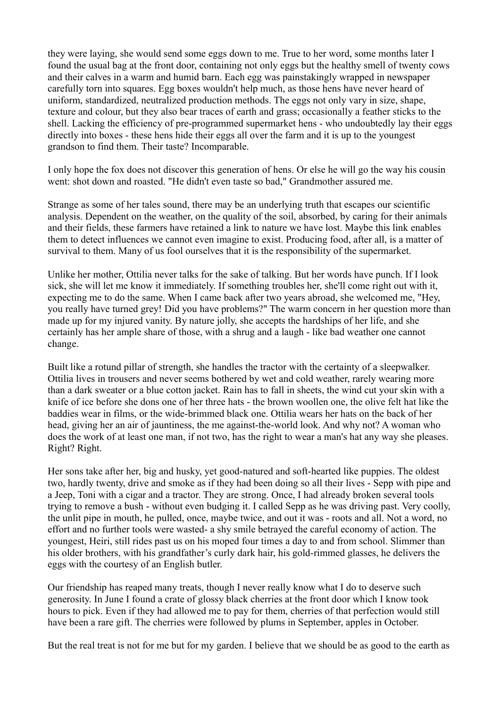they were laying, she would send some eggs down to me. True to her word, some months later I found the usual bag at the front door, containing not only eggs but the healthy smell of twenty cows and their calves in a warm and humid barn. Each egg was painstakingly wrapped in newspaper carefully torn into squares. Egg boxes wouldn't help much, as those hens have never heard of uniform, standardized, neutralized production methods. The eggs not only vary in size, shape, texture and colour, but they also bear traces of earth and grass; occasionally a feather sticks to the shell. Lacking the efficiency of pre-programmed supermarket hens - who undoubtedly lay their eggs directly into boxes - these hens hide their eggs all over the farm and it is up to the youngest grandson to find them. Their taste? Incomparable.

I only hope the fox does not discover this generation of hens. Or else he will go the way his cousin went: shot down and roasted. "He didn't even taste so bad," Grandmother assured me.

Strange as some of her tales sound, there may be an underlying truth that escapes our scientific analysis. Dependent on the weather, on the quality of the soil, absorbed, by caring for their animals and their fields, these farmers have retained a link to nature we have lost. Maybe this link enables them to detect influences we cannot even imagine to exist. Producing food, after all, is a matter of survival to them. Many of us fool ourselves that it is the responsibility of the supermarket.

Unlike her mother, Ottilia never talks for the sake of talking. But her words have punch. If I look sick, she will let me know it immediately. If something troubles her, she'll come right out with it, expecting me to do the same. When I came back after two years abroad, she welcomed me, "Hey, you really have turned grey! Did you have problems?" The warm concern in her question more than made up for my injured vanity. By nature jolly, she accepts the hardships of her life, and she certainly has her ample share of those, with a shrug and a laugh - like bad weather one cannot change.

Built like a rotund pillar of strength, she handles the tractor with the certainty of a sleepwalker. Ottilia lives in trousers and never seems bothered by wet and cold weather, rarely wearing more than a dark sweater or a blue cotton jacket. Rain has to fall in sheets, the wind cut your skin with a knife of ice before she dons one of her three hats - the brown woollen one, the olive felt hat like the baddies wear in films, or the wide-brimmed black one. Ottilia wears her hats on the back of her head, giving her an air of jauntiness, the me against-the-world look. And why not? A woman who does the work of at least one man, if not two, has the right to wear a man's hat any way she pleases. Right? Right.

Her sons take after her, big and husky, yet good-natured and soft-hearted like puppies. The oldest two, hardly twenty, drive and smoke as if they had been doing so all their lives - Sepp with pipe and a Jeep, Toni with a cigar and a tractor. They are strong. Once, I had already broken several tools trying to remove a bush - without even budging it. I called Sepp as he was driving past. Very coolly, the unlit pipe in mouth, he pulled, once, maybe twice, and out it was - roots and all. Not a word, no effort and no further tools were wasted- a shy smile betrayed the careful economy of action. The youngest, Heiri, still rides past us on his moped four times a day to and from school. Slimmer than his older brothers, with his grandfather's curly dark hair, his gold-rimmed glasses, he delivers the eggs with the courtesy of an English butler.

Our friendship has reaped many treats, though I never really know what I do to deserve such generosity. In June I found a crate of glossy black cherries at the front door which I know took hours to pick. Even if they had allowed me to pay for them, cherries of that perfection would still have been a rare gift. The cherries were followed by plums in September, apples in October.

But the real treat is not for me but for my garden. I believe that we should be as good to the earth as